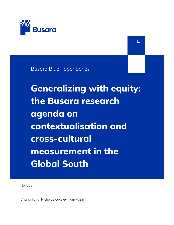

Busara Blue Paper Series

**Generalizing with equity: the Busara research agenda on contextualisation and cross-cultural measurement in the Global South**

No. 003

Chang Tang, Nicholas Owsley, Tom Wein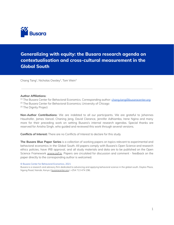

### **Generalizing with equity: the Busara research agenda on contextualisation and cross-cultural measurement in the Global South**

Chang Tang<sup>1</sup>, Nicholas Owsley<sup>2</sup>, Tom Wein<sup>3</sup>

#### **Author Affiliations:**

<sup>[1]</sup> The Busara Center for Behavioral Economics. Corresponding author: [chang.tang@busaracenter.org](mailto:chang.tang@busaracenter.org) <sup>[2]</sup> The Busara Center for Behavioral Economics; University of Chicago <sup>[3]</sup> The Dignity Project

**Non-Author Contributions:** We are indebted to all our participants. We are grateful to Johannes Haushofer, James Vancel, Chaning Jang, David Clarance, Jennifer Adhiambo, Irene Ngina and many more for their preceding work on setting Busara's internal research agendas. Special thanks are reserved for Anisha Singh, who guided and reviewed this work through several versions.

**Conflicts of Interest:** There are no Conflicts of Interest to declare for this study

**The Busara Blue Paper Series** is a collection of working papers on topics relevant to experimental and behavioral economics in the Global South. All papers comply with Busara's Open Science and research ethics policies, have IRB approval, and all study materials and data are to be published on the Open Science Framework [www.osf.io.](http://www.osf.io) Papers are circulated for discussion and comment - feedback on the paper directly to the corresponding author is welcomed.

© Busara Center for Behavioral Economics, 2021

Busara is a research and advisory firm dedicated to advancing and applying behavioral science in the global south. Daykio Plaza, Ngong Road, Nairobi, Kenya | [busaracenter.org](https://www.busaracenter.org) | +254 713 474 296.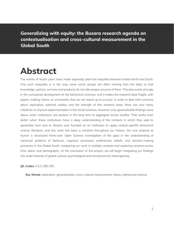**Generalizing with equity: the Busara research agenda on contextualisation and cross-cultural measurement in the Global South**

# **Abstract**

The events of recent years have made especially plain the inequities between Global North and South. One such inequality is in the way some social groups are often missing from the data, so that knowledge, policies, services and products do not take proper account of them. This bias exists strongly in the conceptual development of the behavioral sciences, and it makes the research base fragile, with papers making claims of universality that do not stand up to scrutiny. In order to deal with concerns about replication, external validity and the strength of this research base, there are now many initiatives to improve experimentation in the social sciences. However, truly generalizable findings come about when institutions are present in the long term to aggregate across studies. That works even better when those institutions have a deep understanding of the contexts in which they seek to generalise from and to. Busara was founded as an institution to apply context-specific behavioral science literature, and this work has been a constant throughout our history. We now propose to launch a structured three-year Open Science investigation of the gaps in the understanding of canonical patterns of behavior, cognitive processes, preferences, beliefs, and decision-making processes in the Global South, comparing our work in multiple contexts and exploring variance across time, place, and demography. At the conclusion of this project, we will begin integrating our findings into wider theories of global cultural, psychological and microeconomic heterogeneity.

**JEL Codes:** A13; C90; D91

**Key Words:** replication, generalization, cross-cultural measurement, theory, behavioral science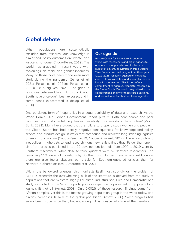### **Global debate**

When populations are systematically excluded from research, our knowledge is diminished, policy outcomes are worse, and justice is not done (Criado-Perez, 2019). The world has grappled in recent years with reckonings on racial and gender inequities. Many of those have been made even more stark during the pandemic (Zelner et al, 2021; Porter et al, 2021a; Porter et al, 2021b; Le & Nguyen, 2021). The gaps in resources between Global North and Global South have once again been exposed, and in some cases exacerbated (Oldekop et al, 2020).

#### Our agenda

**Busara Center for Behavioral Economics** works with researchers and organisations to advance and apply behavioral science in pursuit of poverty alleviation. In three Busara 'Blue Papers', we are laying out our three year (2022-2025) research agenda on methods, cross-cultural validation and research ethics in line with that mission. This is part of our commitment to rigorous, respectful research in the Global South. We would be glad to discuss collaborations on any of these core questions, and we welcome feedback on these agendas.

One persistent form of inequity lies in unequal availability of data and research. As the World Bank's 2021 World Development Report puts it, "Both poor people and poor countries face fundamental inequities in their ability to access data infrastructure" (World Bank, 2021). Many have argued that the failure to properly study women and people in the Global South has had deeply negative consequences for knowledge and policy, service and product design, in ways that compound and replicate long standing legacies of sexism and racism (Criado-Perez, 2019; Cooper & Morrell, 2014). There are profound inequalities in who gets to lead research - one new review finds that "Fewer than one in six of the articles published in top 20 development journals from 1990 to 2019 were by Southern researchers, while close to three-quarters were by Northern researchers. The remaining 11% were collaborations by Southern and Northern researchers. Additionally, there are also fewer citations per article for Southern-authored articles than for Northern-authored articles" (Amarante et al, 2021).

Within the behavioral sciences, this manifests itself most strongly as the problem of 'WEIRD' research; the overwhelming bulk of the literature is derived from the study of populations that are Western, highly Educated, Industrialised, Rich and Democratic; one study estimated that 96% of the participants in experiments published in top psychology journals fit that bill (Arnett, 2008). Only 0.002% of those research findings came from African samples, yet this is the fastest growing population group in the world today, and already comprises 16.67% of the global population (Arnett, 2008). Some progress has surely been made since then, but not enough. This is especially true of the literature in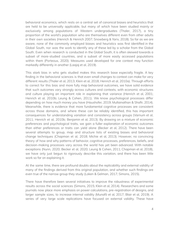behavioral economics, which rests on a central set of canonical biases and heuristics that are held to be universally applicable, but many of which have been studied mainly or exclusively among populations of Western undergraduates (Thaler, 2017), a tiny proportion of the world's population who are themselves different even from other adults in their own societies (Henrich & Henrich 2007; Snowberg & Yariv, 2018). So far as we are aware, none of the commonly employed biases and heuristics was first identified in the Global South, nor was the work to identify any of these led by a scholar from the Global South. Even when research is conducted in the Global South, it is often skewed towards a subset of more-studied countries, and a subset of more easily accessed populations within them (Porteous, 2020). Measures used developed for one context may function markedly differently in another (Laajaj et al, 2019).

This stark bias in who gets studied makes this research base especially fragile. A key finding in the behavioral sciences is that even small changes to context can make for very different results (Thaler et al, 2013; Klein et al, 2018; Henrich et al, 2010a). Through efforts to correct for this bias and more fully map behavioral outcomes, we have solid evidence that such outcomes vary strongly across cultures and contexts, with economic structures and culture playing an important role in explaining that variance (Henrich et al, 2001; Henrich et al, 2010b; Leung & Cohen, 2011). We know psychological processes differ depending on how much money you have (Haushofer, 2019; Mullainathan & Shafir, 2014). Meanwhile, there is evidence that more fundamental cognitive processes are consistent across those domains, and where these can be reliably identified, this has important consequences for understanding variation and consistency across groups (Varnum et al, 2011; Henrich et al, 2010b; Benjamin et al, 2013). By drawing on a mixture of economic preferences and psychological traits, we gain a fuller explanation of economic outcomes than either preferences or traits can yield alone (Becker et al, 2012). There have been several attempts to group, map and structure lists of existing biases and behavioral change techniques (Chapman et al, 2018; Michie et al, 2013). However, no convincing theory of how and why patterns of behavior, cognitive processes, preferences, beliefs, and decision-making processes vary across the world has yet been advanced. With notable exceptions (Nunn, 2020; Becker et al, 2020; Leung & Cohen, 2011; Chapman et al, 2018), we have only just begun to rigorously describe this variation, and there has been little work so far on explaining it.

At the same time, there are profound doubts about the replicability and external validity of many of the findings derived from this original population, and whether such findings are even true of the narrow group they study (Loken & Gelman, 2017; Simons, 2015).

There have therefore been several initiatives to improve the robustness of experimental results across the social sciences (Simons, 2015; Klein et al, 2014). Researchers and some journals now place more emphasis on power calculations, pre-registration of designs, and larger sample sizes, to increase internal validity (Munafò et al, 2017; Blair et al, 2019). A series of very large scale replications have focused on external validity. These have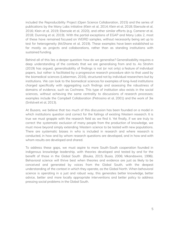included the Reproducibility Project (Open Science Collaboration, 2015) and the series of publications by the Many Labs initiative (Klein et al, 2014; Klein et al, 2018; Ebersole et al, 2016; Klein et al, 2019; Ebersole et al, 2020), and other similar efforts (e.g. Camerer et al, 2018; Dunning et al, 2019). With the partial exceptions of EGAP and Many Labs 2, most of these have remained focused on WEIRD samples, without necessarily being set up to test for heterogeneity (McShane et al, 2019). These examples have been established so far mostly as projects and collaborations, rather than as standing institutions with sustained funding.

Behind all of this lies a deeper question: how do we generalise? Generalisability requires a deep understanding of the contexts that we are generalising from and to. As Strohm (2019) has argued, generalisability of findings is not (or not only) a feature of individual papers, but rather is facilitated by a progressive research procedure akin to that used by the biomedical sciences (Lieberman, 2016), structured not by individual researchers but by institutions. We can look to the biomedical sciences for examples of long-lived institutions charged specifically with aggregating such findings and assessing the robustness of domains of evidence, such as Cochrane. This type of institution also exists in the social sciences, without achieving the same centrality to discussions of research processes; examples include the Campbell Collaboration (Petrosino et al, 2001) and the work of 3ie (Snilstveit et al, 2013).

At Busara, we believe that too much of this discussion has been founded on a model in which institutions question and correct for the failings of existing Western research. It is true we must grapple with the research field as we find it. Yet finally, if we are truly to correct the systematic exclusion of many people from the production of knowledge, we must move beyond simply extending Western science to be tested with new populations. There are systematic biases in who is included in research and where research is conducted, in how and by whom research questions are developed, and in how and with whom results are developed and shared.

To address these gaps, we must aspire to more South-South cooperation founded in indigenous knowledge leadership, with theories developed and tested by and for the benefit of those in the Global South (Bouka, 2015; Busia, 2006; Mkandawire, 1996). Behavioral science will thrive best when theories and evidence are just as likely to be conceived and generated by voices from the Global South, with the deepest understanding of the context in which they operate, as the Global North. When behavioral science is operating in a just and robust way, this generates better knowledge, better advice, better and more locally appropriate interventions and better policy to address pressing social problems in the Global South.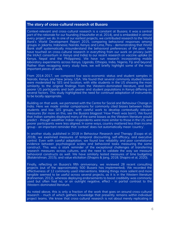#### **The story of cross-cultural research at Busara**

Context-relevant and cross-cultural research is a constant at Busara; it was a central part of the rationale for our founding (Haushofer et al, 2014), and is embedded in almost every project we do. In one of our earliest projects, we contributed research to the World Bank's World Development Report 2015, comparing behavioral responses among groups in Jakarta, Indonesia; Nairobi, Kenya; and Lima, Peru - demonstrating that World Bank staff systematically misunderstand the behavioral preferences of the poor. We have touched on cross-cultural research in everything from our work on privacy (with the IntAct consortium in Kenya and India) to our recent research on vaccine uptake (in Kenya, Nepal and the Philippines). We have run research incorporating mobile laboratory experiments across Kenya, Uganda, Ethiopia, India, Nigeria, Fiji and beyond. Rather than recapping every study here, we will briefly highlight some of the most important pieces of work.

From 2014-2017, we compared low socio-economic status and student samples in Nairobi, Kenya, and New Jersey, USA. We found that several commonly studied biases were moderated by SES and location, with elite students in the US showing the most similarity to the original findings from the Western-dominated literature, and both poorer US participants and both poorer and student populations in Kenya differing on several factors. This study highlighted the need for continual adaptation of instruments to be locally appropriate.

Building on that work, we partnered with the Centre for Social and Behaviour Change in India. Here we made similar comparisons for commonly cited biases between Indian students and low SES groups, with careful work to develop contextually relevant measures (for more on this, see the Busara blogpost 'How Preeti was born'). We found that Indian samples displayed many of the same biases as the Western literature would predict - though wealthier Indian respondents were more similar to those in the US, and poorer participants were less aligned. In some ways, country mattered less than income group - an important reminder that 'context' does not automatically mean 'country'.

In another study, published in 2018 in Behaviour Research and Therapy (Esopo et al, 2018), we examined measures of temporal discounting, self-efficacy, and executive control. Even with careful adaptation, we found low reliability and poor correlational evidence between psychological scales and behavioral tasks measuring the same construct. This was a stark reminder of the exceptional challenges of transferring research measures across cultures, and the need to validate the way we measure behavioral constructs as well. We have similarly tested measures of time budgeting (Balakrishnan, 2015), and value elicitation (Shapiro & Jang, 2018; Shapiro et al, 2020).

Finally, reflecting on Busara's fifth anniversary, we reviewed 28 recent consulting projects (out of the approximately 500 Busara has implemented). We recorded the effectiveness of 12 commonly used interventions. Making things more salient and more tangible seemed to be useful across several projects, as it is in the Western literature (Kahneman, 2012), whereas deploying endorsements to boost credibility was commonly used but often had no, or an outright negative, effect - in partial contrast to the Western-dominated literature.

As noted above, this is only a fraction of the work that goes on around cross-cultural research - much of which gathers knowledge that presently remains within individual project teams. We know that cross-cultural research is not about merely replicating in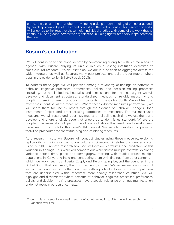one country or another, but about developing a deep understanding of behavior guided by our deep knowledge of the varied contexts of the Global South. This research agenda will allow us to link together these major individual studies with some of the work that is continually being done across the organisation, building tighter feedback loops between the two.

### **Busara's contribution**

We will contribute to this global debate by commencing a long-term structured research agenda, with Busara playing its unique role as a lasting institution dedicated to cross-cultural research. As an institution, we are in a position to aggregate across the wider literature, as well as Busara's many past projects, and build a clear map of where gaps in the evidence lie (Snilstveit et al, 2013).

To address these gaps, we will prioritise among a taxonomy of findings on patterns of behavior, cognitive processes, preferences, beliefs, and decision-making processes (including, but not limited to, heuristics and biases), and for the most urgent we will develop and document structured, standardized methods for reliably measuring and adapting them in different locations and contexts in the Global South. We will test and retest these contextualized measures. Where these adapted measures perform well, we will share them for use by others through the Science of Behavior Change's Open Instruments Project and other existing databases of measures. For our most-used measures, we will record and report key metrics of reliability each time we use them, and develop and share analysis code that allows us to do this as standard. Where the adapted measures do not perform well, we will share this result, and develop new measures from scratch for this non-WEIRD context. We will also develop and publish a toolkit on procedures for contextualising and validating measures.

As a research institution, Busara will conduct studies using these measures, exploring replicability of findings across nation, culture, socio-economic status and gender - often using our KITE remote research tool. We will explore correlates and predictors of this variation in findings. This work will compare our work across multiple contexts, exploring variance across time, place and demography, starting with studies across multiple populations in Kenya and India and contrasting them with findings from other contexts in which we work, such as Nigeria, Egypt, and Peru - going beyond the countries in the Global South that are already the most frequently studied. We will examine variation not just across countries, but within countries, with a particular focus on those populations that are understudied within otherwise more heavily researched countries. We will highlight and disseminate where patterns of behavior, cognitive processes, preferences, beliefs, and decision-making processes have a special relevance or unique manifestation, or do not recur, in particular contexts. $^1$ 

 $1$  Though it is a potentially interesting source of variation and instability, we will not emphasize variation over time.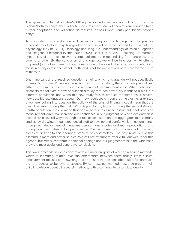This gives us a funnel for 'de-WEIRDing' behavioral science - we will adapt from the Global North to Kenya, then validate measures there. We will then explore variation (with further adaptation and validation as required) across Global South populations beyond Kenya.

To conclude this agenda, we will begin to integrate our findings with large-scale explanations of global psychological variance, including those offered by cross-cultural psychology (LeVine, 2001), sociology and long-run understandings of colonial legacies and exogenous historical events (Nunn, 2020; Becker et al, 2020), building up informed hypotheses of the most relevant contextual factors in generalising from one place and time to another. By the conclusion of this agenda, we will be in a position to offer a proposed (but not yet demonstrated) description of how and why responses to behavioral measures vary across the Global South, and what the implications of this are for the future of the field.

One important and unresolved question remains, which this agenda will not specifically attempt to answer. When we register a result from a study, there are two possibilities: either that result is true, or it is a consequence of measurement error. When behavioral scientists repeat with a new population a study that has previously identified a bias in a different population, and when this new study fails to produce the same result, several new possible explanations appear. Our new result could mean that the bias never existed anywhere, calling into question the validity of the original finding. It could mean that the bias does exist among the first (WEIRD) population, but not among the second (Global South) population. It could mean that one or both studies used instruments that produced measurement error. We increase our confidence in our judgment of which explanation is most likely in several ways: through our role as an institution that aggregates across many studies, by drawing on our experienced staff to develop and carefully pilot measurements, through our deployment of measures across many studies and many populations, and through our commitment to open science. We recognise that this does not provide a complete answer to this enduring problem of epistemology. The only route out of this dilemma is more and better studies. We will not attempt to offer a full answer under this agenda, but rather contribute additional findings and our judgment to help the wider field draw the most useful and generative conclusions.

This work proceeds in close concert with a similar program of work on research methods, which is intimately related. We can differentiate between them thusly: cross-cultural measurement focuses on answering a set of research questions about specific constructs that are central to behavioral science. By contrast, our methods research program will build knowledge about all research methods, with a continual focus on data quality.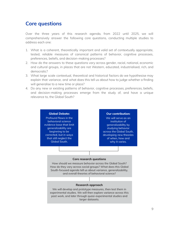# **Core questions**

Over the three years of this research agenda, from 2022 until 2025, we will comprehensively answer the following core questions, conducting multiple studies to address each one:

- 1. What is a coherent, theoretically important and valid set of contextually appropriate, tested, reliable measures of canonical patterns of behavior, cognitive processes, preferences, beliefs, and decision-making processes?
- 2. How do the answers to these questions vary across gender, racial, national, economic and cultural groups, in places that are not Western, educated, industrialised, rich, and democratic?
- 3. What large scale contextual, theoretical and historical factors do we hypothesise may explain that variance, and what does this tell us about how to judge whether a finding will generalise to a new time or place?
- 4. Do any new or existing patterns of behavior, cognitive processes, preferences, beliefs, and decision-making processes emerge from the study of, and have a unique relevance to, the Global South?

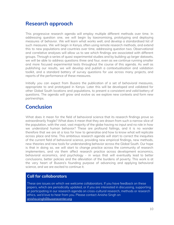# **Research approach**

This progressive research agenda will employ multiple different methods over time. In addressing question one, we will begin by taxonomising, prototyping and deploying measures of behavior. We will learn what works well, and develop a standardised list of such measures. We will begin in Kenya, often using remote research methods, and extend this to new populations and countries over time, addressing question two. Observational and correlative analyses will allow us to see which findings are associated with different groups. Through a series of quasi-experimental studies and by building up larger datasets, we will be able to address questions three and four, even as we continue running smaller and more focused experimental tests throughout the course of this agenda. As well as publishing our results, we will develop and publish a contextualisation and validation toolkit, and a standard battery of survey questions for use across many projects, and reports of the performance of these measures.

Initially you can expect from Busara the publication of a set of behavioral measures, appropriate to and prototyped in Kenya. Later this will be developed and validated for other Global South locations and populations, to present a consistent and valid battery of questions. The agenda will grow and evolve as we explore new contexts and form new partnerships.

## **Conclusion**

What does it mean for the field of behavioral science that its research findings prove so extraordinarily fragile? What does it mean that they are drawn from such a narrow slice of the population, with the vast, vast majority of the globe having no input and no role in how we understand human behavior? These are profound failings, and it is no wonder therefore that we are at a loss for how to generalise and how to know what will replicate across place and time. This ambitious research agenda will start to correct the inequities of the current field of behavioral science, providing new empirical findings, new methods, new theories and new tools for understanding behavior across the Global South. Our hope is that in doing so, we will start to change practice across the community of research implementers, and via them affect research practice across development economics, behavioral economics, and psychology - in ways that will eventually lead to better conclusions, better policies and the alleviation of the burdens of poverty. This work is at the very heart of Busara's founding purpose of advancing and applying behavioral science, and we are excited to continue it.

### **Call for collaborators**

These are issues on which we welcome collaborators. If you have feedback on these papers, which are periodically updated, or if you are interested in discussing, supporting or participating in our research agenda on cross-cultural research, methods or research ethics, we'd love to hear from you. Please contact Anisha Singh on [anisha.singh@busaracenter.org](mailto:anisha.singh@busaracenter.org)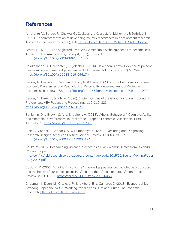# **References**

Amarante, V., Burger, R., Chelwa, G., Cockburn, J., Kassouf, A., McKay, A., & Zurbrigg, J. (2021). Underrepresentation of developing country researchers in development research. Applied Economics Letters, 0(0), 1-6. <https://doi.org/10.1080/13504851.2021.1965528>

Arnett, J. J. (2008). The neglected 95%: Why American psychology needs to become less American. The American Psychologist, 63(7), 602–614. <https://doi.org/10.1037/0003-066X.63.7.602>

Balakrishnan, U., Haushofer, J., & Jakiela, P. (2020). How soon is now? Evidence of present bias from convex time budget experiments. Experimental Economics, 23(2), 294–321. <https://doi.org/10.1007/s10683-019-09617-y>

Becker, A., Deckers, T., Dohmen, T., Falk, A., & Kosse, F. (2012). The Relationship Between Economic Preferences and Psychological Personality Measures. Annual Review of Economics, 4(1), 453–478. <https://doi.org/10.1146/annurev-economics-080511-110922>

Becker, A., Enke, B., & Falk, A. (2020). Ancient Origins of the Global Variation in Economic Preferences. AEA Papers and Proceedings, 110, 319–323. <https://doi.org/10.1257/pandp.20201071>

Benjamin, D. J., Brown, S. A., & Shapiro, J. M. (2013). Who is 'Behavioral'? Cognitive Ability and Anomalous Preferences. Journal of the European Economic Association, 11(6), 1231–1255. <https://doi.org/10.1111/jeea.12055>

Blair, G., Cooper, J., Coppock, A., & Humphreys, M. (2019). Declaring and Diagnosing Research Designs. American Political Science Review, 113(3), 838–859. <https://doi.org/10.1017/S0003055419000194>

Bouka, Y. (2015). Researching violence in Africa as a Black woman: Notes from Rwanda. Working Paper.

[http://conflictfieldresearch.colgate.edu/wp-content/uploads/2015/05/Bouka\\_WorkingPaper](http://conflictfieldresearch.colgate.edu/wp-content/uploads/2015/05/Bouka_WorkingPaper-May2015.pdf) [-May2015.pdf](http://conflictfieldresearch.colgate.edu/wp-content/uploads/2015/05/Bouka_WorkingPaper-May2015.pdf)

Busia, A. P. (2006). What is Africa to me? Knowledge possession, knowledge production, and the health of our bodies politic in Africa and the Africa diaspora. African Studies Review, 49(1), 15–30. <https://doi.org/10.1353/arw.2006.0058>

Chapman, J., Dean, M., Ortoleva, P., Snowberg, E., & Camerer, C. (2018). Econographics (Working Paper No. 24931; Working Paper Series). National Bureau of Economic Research. <https://doi.org/10.3386/w24931>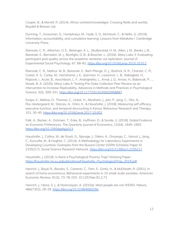Cooper, B., & Morrell, R. (2014). Africa-centred knowledges: Crossing fields and worlds. Boydell & Brewer Ltd.

Dunning, T., Grossman, G., Humphreys, M., Hyde, S. D., McIntosh, C., & Nellis, G. (2019). Information, accountability, and cumulative learning: Lessons from Metaketa I. Cambridge University Press.

Ebersole, C. R., Atherton, O. E., Belanger, A. L., Skulborstad, H. M., Allen, J. M., Banks, J. B., Baranski, E., Bernstein, M. J., Bonfiglio, D. B., & Boucher, L. (2016). Many Labs 3: Evaluating participant pool quality across the academic semester via replication. Journal of Experimental Social Psychology, 67, 68–82. <https://doi.org/10.1016/j.jesp.2015.10.012>

Ebersole, C. R., Mathur, M. B., Baranski, E., Bart-Plange, D.-J., Buttrick, N. R., Chartier, C. R., Corker, K. S., Corley, M., Hartshorne, J. K., IJzerman, H., Lazarević, L. B., Rabagliati, H., Ropovik, I., Aczel, B., Aeschbach, L. F., Andrighetto, L., Arnal, J. D., Arrow, H., Babincak, P., … Nosek, B. A. (2020). Many Labs 5: Testing Pre-Data-Collection Peer Review as an Intervention to Increase Replicability. Advances in Methods and Practices in Psychological Science, 3(3), 309-331. <https://doi.org/10.1177/2515245920958687>

Esopo, K., Mellow, D., Thomas, C., Uckat, H., Abraham, J., Jain, P., Jang, C., Otis, N., Riis-Vestergaard, M., Starcev, A., Orkin, K., & Haushofer, J. (2018). Measuring self-efficacy, executive function, and temporal discounting in Kenya. Behaviour Research and Therapy, 101, 30–45. <https://doi.org/10.1016/j.brat.2017.10.002>

Falk, A., Becker, A., Dohmen, T., Enke, B., Huffman, D., & Sunde, U. (2018). Global Evidence on Economic Preferences. The Quarterly Journal of Economics, 133(4), 1645–1692. https://doi.org/10.1093/gje/gjy013

Haushofer, J., Collins, M., de Giusti, G., Njoroge, J., Odero, A., Onyango, C., Vancel, J., Jang, C., Kuruvilla, M., & Hughes, C. (2014). A Methodology for Laboratory Experiments in Developing Countries: Examples from the Busara Center (SSRN Scholarly Paper ID 2155217). Social Science Research Network. <https://doi.org/10.2139/ssrn.2155217>

Haushofer, J. (2019). Is there a Psychological Poverty Trap? Working Paper. [https://haushofer.ne.su.se/publications/Haushofer\\_PsychologicalTrap\\_2019.pdf](https://haushofer.ne.su.se/publications/Haushofer_PsychologicalTrap_2019.pdf)

Henrich, J., Boyd, R., Bowles, S., Camerer, C., Fehr, E., Gintis, H., & McElreath, R. (2001). In search of homo economicus: Behavioral experiments in 15 small-scale societies. American Economic Review, 91(2), 73–78. DOI: 10.1257/aer.91.2.73

Henrich, J., Heine, S. J., & Norenzayan, A. (2010a). Most people are not WEIRD. Nature, 466(7302), 29–29. <https://doi.org/10.1038/466029a>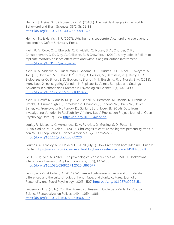Henrich, J., Heine, S. J., & Norenzayan, A. (2010b). The weirdest people in the world? Behavioral and Brain Sciences, 33(2–3), 61–83. <https://doi.org/10.1017/S0140525X0999152X>

Henrich, N., & Henrich, J. P. (2007). Why humans cooperate: A cultural and evolutionary explanation. Oxford University Press.

Klein, R. A., Cook, C. L., Ebersole, C. R., Vitiello, C., Nosek, B. A., Chartier, C. R., Christopherson, C. D., Clay, S., Collisson, B., & Crawford, J. (2019). Many Labs 4: Failure to replicate mortality salience effect with and without original author involvement. <https://doi.org/10.31234/osf.io/vef2c>

Klein, R. A., Vianello, M., Hasselman, F., Adams, B. G., Adams, R. B., Alper, S., Aveyard, M., Axt, J. R., Babalola, M. T., Bahník, Š., Batra, R., Berkics, M., Bernstein, M. J., Berry, D. R., Bialobrzeska, O., Binan, E. D., Bocian, K., Brandt, M. J., Busching, R., … Nosek, B. A. (2018). Many Labs 2: Investigating Variation in Replicability Across Samples and Settings. Advances in Methods and Practices in Psychological Science, 1(4), 443–490. <https://doi.org/10.1177/2515245918810225>

Klein, R., Ratliff, K., Vianello, M., Jr, R. A., Bahník, S., Bernstein, M., Bocian, K., Brandt, M., Brooks, B., Brumbaugh, C., Cemalcilar, Z., Chandler, J., Cheong, W., Davis, W., Devos, T., Eisner, M., Frankowska, N., Furrow, D., Galliani, E., … Nosek, B. (2014). Data from Investigating Variation in Replicability: A "Many Labs" Replication Project. Journal of Open Psychology Data, 2(1), e4. <https://doi.org/10.5334/jopd.ad>

Laajaj, R., Macours, K., Hernandez, D. A. P., Arias, O., Gosling, S. D., Potter, J., Rubio-Codina, M., & Vakis, R. (2019). Challenges to capture the big five personality traits in non-WEIRD populations. Science Advances, 5(7), eaaw5226. <https://doi.org/10.1126/sciadv.aaw5226>

Laumas, A., Owsley, N., & Haldea, P. (2020, July 2). How Preeti was born [Medium]. Busara Center. <https://medium.com/busara-center-blog/how-preeti-was-born-af4583208fc9>

Le, K., & Nguyen, M. (2021). The psychological consequences of COVID-19 lockdowns. International Review of Applied Economics, 35(2), 147–163. <https://doi.org/10.1080/02692171.2020.1853077>

Leung, A. K.-Y., & Cohen, D. (2011). Within-and between-culture variation: Individual differences and the cultural logics of honor, face, and dignity cultures. Journal of Personality and Social Psychology, 100(3), 507. <https://doi.org/10.1037/a0022151>

Lieberman, E. S. (2016). Can the Biomedical Research Cycle be a Model for Political Science? Perspectives on Politics, 14(4), 1054–1066. <https://doi.org/10.1017/S153759271600298X>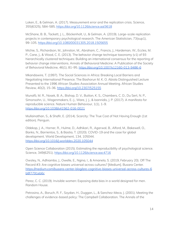Loken, E., & Gelman, A. (2017). Measurement error and the replication crisis. Science, 355(6325), 584–585. <https://doi.org/10.1126/science.aal3618>

McShane, B. B., Tackett, J. L., Böckenholt, U., & Gelman, A. (2019). Large-scale replication projects in contemporary psychological research. The American Statistician, 73(sup1), 99–105. <https://doi.org/10.1080/00031305.2018.1505655>

Michie, S., Richardson, M., Johnston, M., Abraham, C., Francis, J., Hardeman, W., Eccles, M. P., Cane, J., & Wood, C. E. (2013). The behavior change technique taxonomy (v1) of 93 hierarchically clustered techniques: Building an international consensus for the reporting of behavior change interventions. Annals of Behavioral Medicine: A Publication of the Society of Behavioral Medicine, 46(1), 81–95. <https://doi.org/10.1007/s12160-013-9486-6>

Mkandawire, T. (1997). The Social Sciences in Africa: Breaking Local Barriers and Negotiating International Presence. The Bashorun M. K. O. Abiola Distinguished Lecture Presented to the 1996 African Studies Association Annual Meeting. African Studies Review, 40(2), 15–36. <https://doi.org/10.2307/525155>

Munafò, M. R., Nosek, B. A., Bishop, D. V., Button, K. S., Chambers, C. D., Du Sert, N. P., Simonsohn, U., Wagenmakers, E.-J., Ware, J. J., & Ioannidis, J. P. (2017). A manifesto for reproducible science. Nature Human Behaviour, 1(1), 1–9. <https://doi.org/10.1038/s41562-016-0021>

Mullainathan, S., & Shafir, E. (2014). Scarcity: The True Cost of Not Having Enough (1st edition). Penguin.

Oldekop, J. A., Horner, R., Hulme, D., Adhikari, R., Agarwal, B., Alford, M., Bakewell, O., Banks, N., Barrientos, S., & Bastia, T. (2020). COVID-19 and the case for global development. World Development, 134, 105044. <https://doi.org/10.1016/j.worlddev.2020.105044>

Open Science Collaboration (2015). Estimating the reproducibility of psychological science. Science, 349(6251). <https://doi.org/10.1126/science.aac4716>

Owsley, N., Adhiambo, J., Owelle, E., Ngina, I., & Amanela, S. (2019, February 20). Off The Record #3: Are cognitive biases universal across cultures? [Medium]. Busara Center. [https://medium.com/busara-center-blog/are-cognitive-biases-universal-across-cultures-6](https://medium.com/busara-center-blog/are-cognitive-biases-universal-across-cultures-6b8f7791eb6c) [b8f7791eb6c](https://medium.com/busara-center-blog/are-cognitive-biases-universal-across-cultures-6b8f7791eb6c)

Perez, C. C. (2019). Invisible women: Exposing data bias in a world designed for men. Random House.

Petrosino, A., Boruch, R. F., Soydan, H., Duggan, L., & Sanchez-Meca, J. (2001). Meeting the challenges of evidence-based policy: The Campbell Collaboration. The Annals of the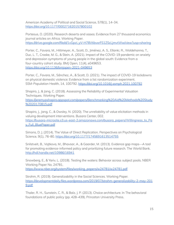American Academy of Political and Social Science, 578(1), 14–34. <https://doi.org/10.1177/000271620157800102>

Porteous, O. (2020). Research deserts and oases: Evidence from 27 thousand economics journal articles on Africa. Working Paper. [https://drive.google.com/file/d/1vGpzi\\_yV-H78VtibvxrFS1ZScLjmvtWw/view?usp=sharing](https://drive.google.com/file/d/1vGpzi_yV-H78VtibvxrFS1ZScLjmvtWw/view?usp=sharing)

Porter, C., Favara, M., Hittmeyer, A., Scott, D., Jiménez, A. S., Ellanki, R., Woldehanna, T., Duc, L. T., Craske, M. G., & Stein, A. (2021). Impact of the COVID-19 pandemic on anxiety and depression symptoms of young people in the global south: Evidence from a four-country cohort study. BMJ Open, 11(4), e049653. <https://doi.org/10.1136/bmjopen-2021-049653>

Porter, C., Favara, M., Sánchez, A., & Scott, D. (2021). The impact of COVID-19 lockdowns on physical domestic violence: Evidence from a list randomization experiment. SSM-Population Health, 14, 100792. <https://doi.org/10.1016/j.ssmph.2021.100792>

Shapiro, J., & Jang, C. (2018). Assessing the Reliability of Experimental Valuation Techniques. Working Paper.

[https://jeremypshapiro.appspot.com/papers/Benchmarking%20Aid%20Methods%20Study](https://jeremypshapiro.appspot.com/papers/Benchmarking%20Aid%20Methods%20Study%2020170815.pdf) [%2020170815.pdf](https://jeremypshapiro.appspot.com/papers/Benchmarking%20Aid%20Methods%20Study%2020170815.pdf)

Shapiro, J., Jang, C., & Owsley, N. (2020). The unreliability of value elicitation methods in valuing development interventions. Busara Center, 002. [https://busara-microsite.s3.us-east-2.amazonaws.com/busara\\_papers/Willingness\\_to\\_Pa](https://busara-microsite.s3.us-east-2.amazonaws.com/busara_papers/Willingness_to_Pay_Full_BluePaper.pdf) [y\\_Full\\_BluePaper.pdf](https://busara-microsite.s3.us-east-2.amazonaws.com/busara_papers/Willingness_to_Pay_Full_BluePaper.pdf)

Simons, D. J. (2014). The Value of Direct Replication. Perspectives on Psychological Science, 9(1), 76-80. <https://doi.org/10.1177/1745691613514755>

Snilstveit, B., Vojtkova, M., Bhavsar, A., & Gaarder, M. (2013). Evidence gap maps—A tool for promoting evidence-informed policy and prioritizing future research. The World Bank. <http://hdl.handle.net/10986/16941>

Snowberg, E., & Yariv, L. (2018). Testing the waters: Behavior across subject pools. NBER Working Paper No. 24781. [https://www.nber.org/system/files/working\\_papers/w24781/w24781.pdf](https://www.nber.org/system/files/working_papers/w24781/w24781.pdf)

Strohm, R. (2019). Generalizability in the Social Sciences. Working Paper. [https://developmentdaily.files.wordpress.com/2019/07/strohm-generalizability-2-may-201](https://developmentdaily.files.wordpress.com/2019/07/strohm-generalizability-2-may-2019.pdf) [9.pdf](https://developmentdaily.files.wordpress.com/2019/07/strohm-generalizability-2-may-2019.pdf)

Thaler, R. H., Sunstein, C. R., & Balz, J. P. (2013). Choice architecture. In The behavioral foundations of public policy (pp. 428–439). Princeton University Press.